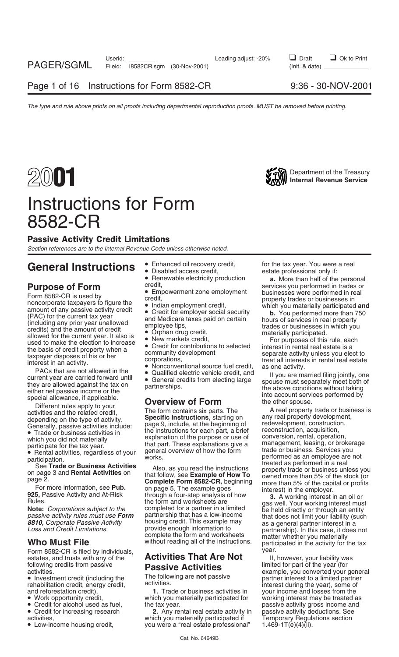## Instructions for Form 8582-CR

### Passive Activity Credit Limitations

*Section references are to the Internal Revenue Code unless otherwise noted.*

## **General Instructions** • Enhanced oil recovery credit, for the tax year. You were a real **General** estate professional only if:

Form 8582-CR is filed by individuals, estates, and trusts with any of the **Activities That Are Not** if, however, your liability was

- 
- 
- 
- 
- - Renewable electricity production **a.** More than half of the personal credit, credit,
	-
	-
	-
- 
- 

- 
- 

and reforestation credit), **1.** Trade or business activities in your income and losses from the • Work opportunity credit, working interest may be treated as which you materially participated for working interest may be treated as

**2.** Any rental real estate activity in passive activity deductions. See<br>ich you materially participated if Temporary Regulations section activities,<br>
• Low-income housing credit, example a "real estate professional" 1.469-1T(e)(4)(ii). • Low-income housing credit, you were a "real estate professional"

estate professional only if:

**Purpose of Form season performed in tracks on Form season performed in tracks on Form season performed in the continuous continuous continuous continuous continuous continuous continuous continuous continuous continuous** 

complete the form and worksheets matter whether you materially<br>without reading all of the instructions. participated in the activity for the tax<br>year.

following credits from passive<br>
activities. **Passive Activities** activities bimited for part of the year (for<br>
■ Investment credit (including the The following are not passive partner interest to a limited partner<br>
rehabi • Credit for alcohol used as fuel, the tax year.<br>• Credit for increasing research **2.** Any rental real estate activity in passive activity deductions. See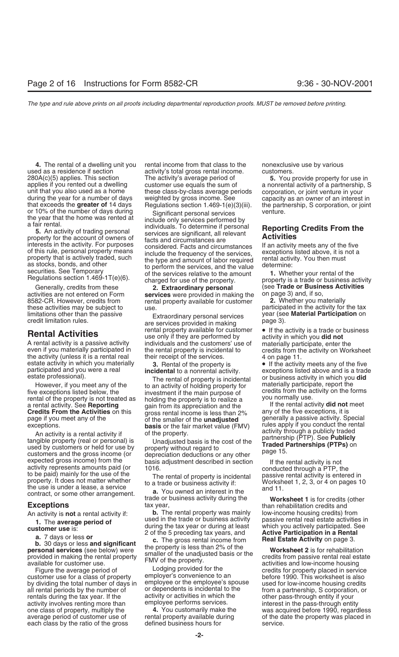or 10% of the number of days during Significant personal services venture.<br>the year that the home was rented at include only services performed by

a rental activity. See **Heporting** gain from its appreciation and the **call income is less than 2%** any of the five exceptions, it is page if you meet any of the **completions** of the smaller of the **unadjusted** generally a

page if you meet any of the<br>exceptions.<br>
An activity is a rental activity if the smaller of the **unadjusted**<br>
An activity is a rental activity if the property<br>
An activity is a rental activity if the property (real or pers

1. The **average period of**<br> **customer use** is:<br> **a.** 7 days or less or<br> **b.** 30 days or less and significant<br> **b.** 30 days or less and significant<br> **c.** The gross rental income from<br> **c.** The gross rental income from<br> **e.** 

customer use for a class of property bemployer's convenience to an<br>by dividing the total number of days in semployee or the employee's spouse by dividing the total number of days in employee or the employee's spouse used for low-income housing credits b<br>All rental periods by the number of or dependents is incidental to the from a partnership. S corporation, or all rental periods by the number of or dependents is incidental to the from a partnership, S corporation, or or<br>
rentals during the tax vear. If the activity or activities in which the other pass-through entity if your rentals during the tax year. If the activity or activities in which the other pass-through entity if your activity or activity or activity or activity in volves renting more than employee performs services. activity involves renting more than interprovee performs services.<br>The interest in the pass-through entity pass of property one class of property, multiply the variancy one clas each class by the ratio of the gross defined business hours for service.

**4.** The rental of a dwelling unit you rental income from that class to the nonexclusive use by various used as a residence if section customers. activity's total gross rental income. unit that you also used as a home these class-by-class average periods corporation, or joint venture in your during the year for a number of days weighted by gross income. See capacity as an owner of an interest in that ex

the year that the home was rented at<br>
a fair rental.<br>
5. An activity of trading personal<br>
property for the account of owners of<br>
the activity. For purposes<br>
of this rule, personal property means<br>
of this rule, personal pro

activities are not entered on Form **services** were provided in making the on page 3) and, if so, Fental property available for customer **2.** Whether you materially<br>use participated in the activity for the tax

limitations other than the passive **Findite Containery personal services** wear (see credit limitation rules. page 3). **Rental Activities** *Rental property available for customer* **• If the activity is a trade or business is a trade or business is a trade or business is a trade or business is a passive activity in which you <b>did not**<br>A ren A rental activity is a passive activity buridividuals and the customers' use of batterially participate, enter the<br>even if you materially participated in buridic rental property is incidental to bare credits from the activ

However, if you meet any of the to an activity of holding property for five exceptions listed below, the investment if the main purpose of rental of the property is not treated as holding the property is to realize a a ren

280A(c)(5) applies. This section The activity's average period of **5.** You provide property for use in applies if you rented out a dwelling customer use equals the sum of a nonrental activity of a partnership, S Regulations section 1.469-1(e)(3)(iii). the partnership, S corporation, or joint

Generally, credits from these **2. Extraordinary personal** (see **Trade or Business Activities** activities are not entered on Form **services** were provided in making the on page 3) and, if so,

these activities may be subject to use.<br>Initiations other than the passive **the interventival participate of the tax**<br>
Fortanglinary personal sensions year (see **Material Participation** on

estate activity in which you materially **3.** Rental of the property is **a constant of the activity meets any of the five**<br>participated and you were a real **incidental** to a nonrental activity.<br>The rental of property is inc

An activity is **not** a rental activity if: **b.** The rental property was mainly low-income housing credits) from<br>**1** The average period of used in the trade or business activity passive rental real estate activities in

available for customer use.<br>Figure the average period of and the credits for property placed in service<br>customer use for a class of property employer's convenience to an before 1990. This worksheet is also was acquired before 1990, regardless average period of customer use of other that property available during of the date the property was placed in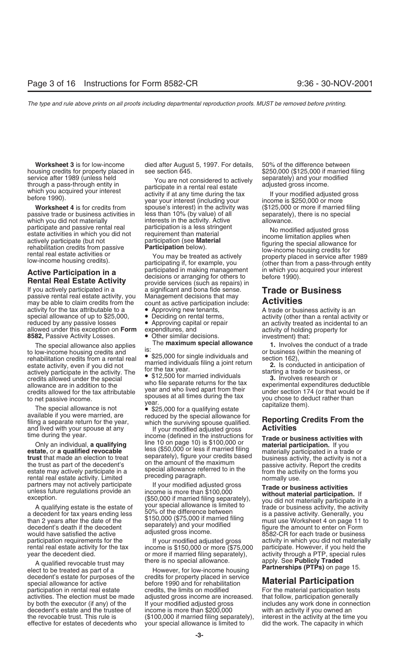passive trade or business activities in less than 10% (by value) of all separately), there is no special which you did not materially interests in the activity. Active allowance.<br>
participate and passive rental real participation is a less stringent

If you actively participated in a a significant and bona fide sense. **Trade or Business**<br>passive rental real estate activity, you Management decisions that may passive rental real estate activity, you may be able to claim credits from the count as active participation include: **Activities** activity for the tax attributable to a **•** Approving new tenants, <br>special allowance of up to \$25,000, • Deciding on rental terms, activity (other than a rental activity or<br>reduced by any passive losses • Approving capital allowed under this exception on **Form** 

The special allowance also applies<br>
to low-income housing credits and<br>
to low-income housing credits and<br>
rehabilitation credits from a rental real<br>
expecting a separate activity, even if you did not<br>
extant activity, eve

filing a separate return for the year, which the surviving spouse qualified. **In Epot ting**<br>and lived with your spouse at any **If** your modified adjusted gross **Activities** 

the trust as part of the decedent's on the amount of the maximum<br>estate may actively participate in a<br>rental real estate activity. Limited preceding paragraph. The maximum passive activity. Report the credits<br>rental real e

decedent's death if the decedent separately) and your modified and trade the amount to enter on Form<br>would have satisfied the active adjusted gross income. 8582-CR for each trade or business

there is no special allowance. apply. See **Publicly Traded** A qualified revocable trust may **Partnerships (PTPs)** on page 15. elect to be treated as part of a However, for low-income housing decedent's estate for purposes of the credits for property placed in service special allowance for active<br>
participation in rental real estate before 1990 and for rehabilitation<br>
participation in rental real estate credits, the limits on modified For the material participation tests participation in rental real estate credits, the limits on modified activities. The election must be made adjusted gross income are increased. that follow, participation generally decedent's estate and the trustee of the revocable trust. This rule is (\$100,000 if married filing separately), interest in the activity at the time you effective for estates of decedents who your special allowance is limited to did the work. The capacity in which

**Worksheet 3** is for low-income died after August 5, 1997. For details, 50% of the difference between housing credits for property placed in see section 645. \$250,000 (\$125,000 if married filing

service after 1989 (unless held<br>through a pass-through entity in the participate in a rental real estate through a pass-through entity in participate in a rental real estate<br>which you acquired your interest activity if at **Worksheet 4** is for credits from spouse's interest) in the activity was (\$125,000 or more if married filing

**Active Participation in a** participated in making management in which you acquired your interest<br>**Rental Real Estate Activity** provide services (such as repairs) in the fore 1990).

**8582,** Passive Activity Losses. • Other similar decisions. investment) that:<br>The approviate investment of the **maximum special allowance 1** Involves the

time during the year.<br>Only an individual, **a qualifying** line 10 on page 10) is \$100,000 or **Trade or business activities with**<br>**Conditional instance on page 10**) is \$100,000 or **material participation.** If you Only an individual, **a qualifying** line 10 on page 10) is \$100,000 or<br>
estate, or **a qualified revocable** less (\$50,000 or less if married filing material participation. If you<br> **trust** that made an election to treat separ

partners may not actively participate<br>
unless future regulations provide an<br>
exception. (\$50,000 if married filing separately),<br>
A qualifying estate is the estate of<br>
a decedent for tax years ending less<br>
than 2 years afte

rental real estate activity for the tax income is \$150,000 or more (\$75,000 year the decedent died. or more if married filing separately). or more if married filing separately), activity through a PTP, special rules there is no special allowance.

participate and passive rental real participation is a less stringent<br>estate activities in which you did not requirement than material<br>actively participate (but not participation (see **Material**<br>rehabilitation credits from

• Approving capital or repair an activity treated as incidental to an expenditures, and  $\frac{1}{2}$  and activity of holding property for

participation requirements for the activity in which you did not materially rental real estate activity for the tax income is \$150,000 or more (\$75,000 participate. However, if you held the

by both the executor (if any) of the If your modified adjusted gross includes any work done in connection decedent's estate and the trustee of income is more than \$200,000 with an activity if you owned an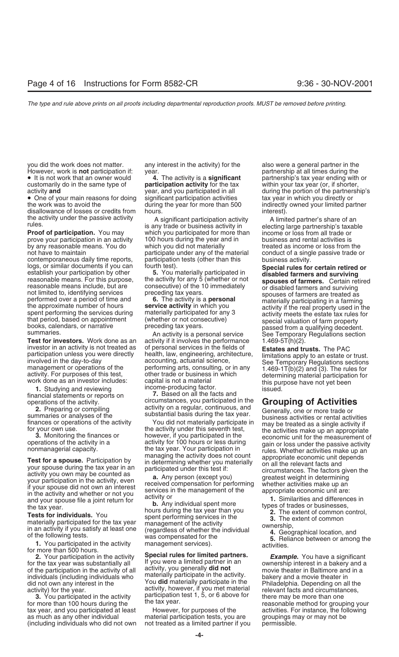you did the work does not matter. any interest in the activity) for the also were a general partner in the

customarily do in the same type of **participation activity** for the tax within your tax year (or, if shorter, activity **and** wear, and you participated in all during the portion of the partnersh

• One of your main reasons for doing significant participation activities tax year in which you directly or<br>during the year for more than 500 indirectly owned your limited painting the year for more than 500 disallowance of losses or credits from hours. The state of the state interest). the activity under the passive activity <br>
is any trade or business activity in electing large partnership's taxable<br>
is any trade or business activity in electing large partnership's taxable

**Proof of participation.** You may which you participated for more than income or loss from all trade or prove your participation in an activity 100 hours during the year and in housiness and rental activities is<br>by any reasonable means. You do hour which you did not materially heared as income or loss from by any reasonable means. You do which you did not materially entity are treated as income or loss from the

contemporaneous daily time reports, participation tests (other than this business activity. logs, or similar documents if you can fourth test).<br>
establish your participation by other **5.** You materially participated in **Special rules for certain retired or**<br>
reasonable means. For this purpose, the activity for an

1. Studying and reviewing<br>financial statements or reports on **7.** Based on all the facts and<br>operations of the activity. **1.** Circumstances, you participated in the

tax year, and you participated at least However, for purposes of the activities. For instance, the following as much as any other individual material participation tests, you are groupings may or may not be (including individuals who did not own not treated as a limited partner if you permissible.

However, work is **not** participation if: year. partnership at all times during the

not have to maintain **participate under any of the material** conduct of a single passive trade or contemporaneous daily time reports, participation tests (other than this business activity.

**Test for investors.** Work done as an activity if it involves the performance  $1.469-5T(h)(2)$ . investor in an activity is not treated as of personal services in the fields of **Fatates and trace Fratates** investor in an activity is not treated as of personal services in the fields of **Estates and trusts.** The PAC

• It is not work that an owner would **4.** The activity is a **significant** partnership's tax year ending with or activity **and** year, and you participated in all during the portion of the partnership's during the year for more than 500 indirectly owned your limited partner<br>hours.

reasonable means include, but are consecutive) of the 10 immediately<br>
not limited to, identifying services<br>
performed over a period of time and<br>
the approximate number of hours<br>
spent performing the services during<br>
spent

participation unless you were directly<br>
involved in the day-to-day<br>
involved in the day-to-day<br>
involved in the day-to-day<br>
accounting, actuarial science,<br>
accounting, actuarial science,<br>
see Temporary Regulations sections

operations of the activity, corumstances you participated in the **CroUping of Activity** on a regular, continuous, and **Georgity** on **Crossing** correctation is a compling activity on a regular, continuous, and **Generally on**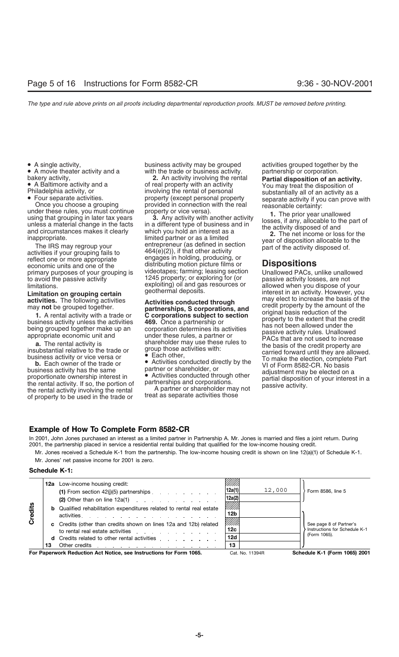activities if your grouping fails to<br>
reflect one or more appropriate<br>
engages in holding, producing, or<br>
economic units and one of the<br>
distributing motion picture films or primary purposes of your grouping is videotapes; farming; leasing section<br>to avoid the passive activity in the unable property; or exploring for (or

business activity has the same partner or shareholder, or<br>proportionate ownership interest in extitities conducted through other<br>the rental activity. If so, the portion of partnerships and corporations.<br>the rental activity the rental activity involving the rental and the partner or shareholder may of property to be used in the trade or treat as separate activities those

• A single activity, business activity may be grouped activities grouped together by the <br>• A movie theater activity and a with the trade or business activity. partnership or corporation. with the trade or business activity.

bakery activity, and a<br> **Philadelphia activity and a**<br> **Philadelphia activity**, or involving the rental of real property with an activity or<br> **Philadelphia activity, or**<br> **Philadelphia activity, or**<br> **Philadelphia activity** distributing motion picture films or **Dispositions**<br>videotapes; farming; leasing section Unallowed PACs, unlike unallowed 1245 property; or exploring for (or expassive activity losses, are not exploiting) oil and gas resources or allowed when you dispose of your

limitations. exploiting) oil and gas resources or allowed when you dispose of your<br>**Limitation on grouping certain** geothermal deposits. **Limitation on grouping certain** activities. The following activities **activities activities activities** may elect to increase the basis of the may not be grouped together. **1.** A rental activity with a trade or **corporations, and**<br> **1.** A rental activity with a trade or **corporations subject to section**<br>
business activity unless the activities<br>
degeneration of the property to the extent that **a.** The rental activity is shareholder may use these rules to<br>
insubstantial relative to the trade or group those activities with:<br>
business activity or vice versa or<br> **b.** Each owner of the trade or<br> **b.** Each owner of t

### **Example of How To Complete Form 8582-CR**

In 2001, John Jones purchased an interest as a limited partner in Partnership A. Mr. Jones is married and files a joint return. During 2001, the partnership placed in service a residential rental building that qualified for the low-income housing credit.

Mr. Jones received a Schedule K-1 from the partnership. The low-income housing credit is shown on line 12(a)(1) of Schedule K-1. Mr. Jones' net passive income for 2001 is zero.

### **Schedule K-1:**

|         |    | <b>12a</b> Low-income housing credit:<br>(1) From section $42(j)(5)$ partnerships $\ldots$ $\ldots$ $\ldots$                                                                                                                                                                                                                                      | 12a(1) <br> 12a(2) | 12,000 | Form 8586, line 5                                                        |
|---------|----|---------------------------------------------------------------------------------------------------------------------------------------------------------------------------------------------------------------------------------------------------------------------------------------------------------------------------------------------------|--------------------|--------|--------------------------------------------------------------------------|
| Credits |    | (2) Other than on line $12a(1)$<br><b>b</b> Qualified rehabilitation expenditures related to rental real estate<br>activities and the set of the set of the set of the set of the set of the set of the set of the set of the set of the set of the set of the set of the set of the set of the set of the set of the set of the set of the set o | ///////<br>12b     |        |                                                                          |
|         |    | c Credits (other than credits shown on lines 12a and 12b) related<br>to rental real estate activities expansion of the state of the state of the state of the state of the state of the state of the state of the state of the state of the state of the state of the state of the state of the sta                                               | ///////<br>12c     |        | See page 8 of Partner's<br>Instructions for Schedule K-1<br>(Form 1065). |
|         | 13 | d Credits related to other rental activities expansion of the contract of the contract of the contract of the contract of the contract of the contract of the contract of the contract of the contract of the contract of the                                                                                                                     | 12d<br>13          |        |                                                                          |
|         |    | For Paperwork Reduction Act Notice, see Instructions for Form 1065.                                                                                                                                                                                                                                                                               | Cat. No. 11394R    |        | Schedule K-1 (Form 1065) 2001                                            |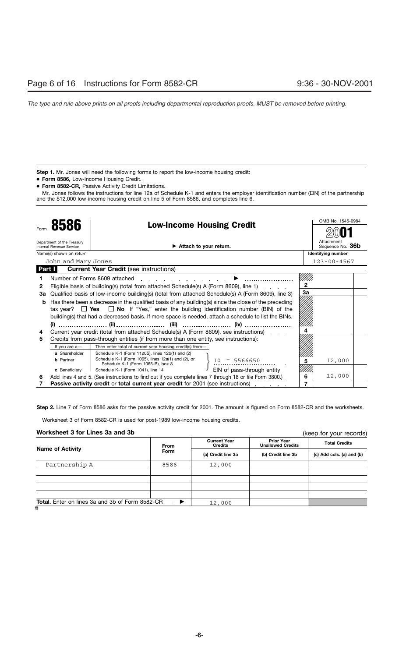Step 1. Mr. Jones will need the following forms to report the low-income housing credit:

- **Form 8586,** Low-Income Housing Credit.
- **Form 8582-CR,** Passive Activity Credit Limitations.

Mr. Jones follows the instructions for line 12a of Schedule K-1 and enters the employer identification number (EIN) of the partnership and the \$12,000 low-income housing credit on line 5 of Form 8586, and completes line 6.

| 8586         |                                                        |                                                                                                          | <b>Low-Income Housing Credit</b> |              | OMB No. 1545-0984              |  |
|--------------|--------------------------------------------------------|----------------------------------------------------------------------------------------------------------|----------------------------------|--------------|--------------------------------|--|
| Form         |                                                        |                                                                                                          |                                  |              |                                |  |
|              | Department of the Treasury<br>Internal Revenue Service |                                                                                                          | Attach to your return.           |              | Attachment<br>Sequence No. 36b |  |
|              | Name(s) shown on return                                |                                                                                                          |                                  |              | <b>Identifying number</b>      |  |
|              | John and Mary Jones                                    |                                                                                                          |                                  |              | $123 - 00 - 4567$              |  |
| Part I       |                                                        | <b>Current Year Credit (see instructions)</b>                                                            |                                  |              |                                |  |
|              |                                                        | Number of Forms 8609 attached                                                                            |                                  |              |                                |  |
| $\mathbf{2}$ |                                                        | Eligible basis of building(s) (total from attached Schedule(s) A (Form 8609), line 1)                    |                                  | $\mathbf{2}$ |                                |  |
| За           |                                                        | Qualified basis of low-income building(s) (total from attached Schedule(s) A (Form 8609), line 3)        |                                  | 3a           |                                |  |
| b            |                                                        | Has there been a decrease in the qualified basis of any building(s) since the close of the preceding     |                                  |              |                                |  |
|              |                                                        | tax year? $\Box$ Yes $\Box$ No If "Yes," enter the building identification number (BIN) of the           |                                  |              |                                |  |
|              |                                                        | building(s) that had a decreased basis. If more space is needed, attach a schedule to list the BINs.     |                                  |              |                                |  |
|              |                                                        |                                                                                                          | (iv)                             |              |                                |  |
| 4            |                                                        | Current year credit (total from attached Schedule(s) A (Form 8609), see instructions).                   |                                  |              |                                |  |
| 5            |                                                        | Credits from pass-through entities (if from more than one entity, see instructions):                     |                                  |              |                                |  |
|              | If you are a-                                          | Then enter total of current year housing credit(s) from-                                                 |                                  |              |                                |  |
|              | a Shareholder                                          | Schedule K-1 (Form 1120S), lines 12b(1) and (2)                                                          |                                  |              |                                |  |
|              | <b>b</b> Partner                                       | Schedule K-1 (Form 1065), lines 12a(1) and (2), or<br>Schedule K-1 (Form 1065-B), box 8                  | $-5566650$<br>10                 | 5            | 12,000                         |  |
|              | c Beneficiary                                          | Schedule K-1 (Form 1041), line 14                                                                        | EIN of pass-through entity       |              |                                |  |
| 6            |                                                        | Add lines 4 and 5. (See instructions to find out if you complete lines 7 through 18 or file Form 3800.). |                                  | 6            | 12,000                         |  |
|              |                                                        | <b>Passive activity credit or total current year credit for 2001 (see instructions)</b>                  |                                  |              |                                |  |

**Step 2.** Line 7 of Form 8586 asks for the passive activity credit for 2001. The amount is figured on Form 8582-CR and the worksheets.

Worksheet 3 of Form 8582-CR is used for post-1989 low-income housing credits.

### **Worksheet 3 for Lines 3a and 3b**

(keep for your records)

| <b>Name of Activity</b>                              | <b>From</b> | <b>Current Year</b><br><b>Credits</b> | <b>Prior Year</b><br><b>Unallowed Credits</b> | <b>Total Credits</b>      |  |
|------------------------------------------------------|-------------|---------------------------------------|-----------------------------------------------|---------------------------|--|
|                                                      | <b>Form</b> | (a) Credit line 3a                    | (b) Credit line 3b                            | (c) Add cols. (a) and (b) |  |
| Partnership A                                        | 8586        | 12,000                                |                                               |                           |  |
|                                                      |             |                                       |                                               |                           |  |
|                                                      |             |                                       |                                               |                           |  |
|                                                      |             |                                       |                                               |                           |  |
|                                                      |             |                                       |                                               |                           |  |
| Total. Enter on lines 3a and 3b of Form 8582-CR. . ▶ |             | 12,000                                |                                               |                           |  |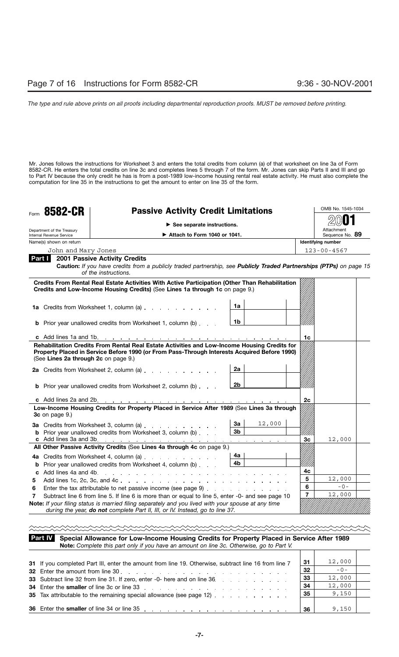Mr. Jones follows the instructions for Worksheet 3 and enters the total credits from column (a) of that worksheet on line 3a of Form 8582-CR. He enters the total credits on line 3c and completes lines 5 through 7 of the form. Mr. Jones can skip Parts II and III and go to Part IV because the only credit he has is from a post-1989 low-income housing rental real estate activity. He must also complete the computation for line 35 in the instructions to get the amount to enter on line 35 of the form.

| Form | 8582-CR<br><b>Passive Activity Credit Limitations</b>  |                                                                                                                                                                                                          |                                                                       |                | OMB No. 1545-1034             |  |
|------|--------------------------------------------------------|----------------------------------------------------------------------------------------------------------------------------------------------------------------------------------------------------------|-----------------------------------------------------------------------|----------------|-------------------------------|--|
|      |                                                        | $\triangleright$ See separate instructions.                                                                                                                                                              |                                                                       |                |                               |  |
|      | Department of the Treasury<br>Internal Revenue Service | Attach to Form 1040 or 1041.                                                                                                                                                                             |                                                                       |                | Attachment<br>Sequence No. 89 |  |
|      | Name(s) shown on return                                |                                                                                                                                                                                                          |                                                                       |                | <b>Identifying number</b>     |  |
|      | John and Mary Jones                                    |                                                                                                                                                                                                          |                                                                       |                | $123 - 00 - 4567$             |  |
|      | Part I I                                               | <b>2001 Passive Activity Credits</b><br>Caution: If you have credits from a publicly traded partnership, see Publicly Traded Partnerships (PTPs) on page 15<br>of the instructions.                      |                                                                       |                |                               |  |
|      |                                                        | Credits From Rental Real Estate Activities With Active Participation (Other Than Rehabilitation<br>Credits and Low-Income Housing Credits) (See Lines 1a through 1c on page 9.)                          |                                                                       |                |                               |  |
|      |                                                        | 1a Credits from Worksheet 1, column (a)                                                                                                                                                                  | 1a                                                                    |                |                               |  |
|      |                                                        | <b>b</b> Prior year unallowed credits from Worksheet 1, column (b)                                                                                                                                       | 1b                                                                    |                |                               |  |
|      |                                                        |                                                                                                                                                                                                          |                                                                       | 1c             |                               |  |
|      | (See Lines 2a through 2c on page 9.)                   | Property Placed in Service Before 1990 (or From Pass-Through Interests Acquired Before 1990)<br>2a Credits from Worksheet 2, column (a)                                                                  | 2a                                                                    |                |                               |  |
|      |                                                        | <b>b</b> Prior year unallowed credits from Worksheet 2, column (b)                                                                                                                                       | 2 <sub>b</sub>                                                        |                |                               |  |
|      |                                                        |                                                                                                                                                                                                          |                                                                       | 2 <sub>c</sub> |                               |  |
|      | $3c$ on page 9.)                                       | Low-Income Housing Credits for Property Placed in Service After 1989 (See Lines 3a through                                                                                                               |                                                                       |                |                               |  |
|      |                                                        | 3a Credits from Worksheet 3, column (a)<br><b>b</b> Prior year unallowed credits from Worksheet 3, column (b)<br>c Add lines 3a and 3b. <u>.</u>                                                         | 12,000<br>За<br>3 <sub>b</sub><br>and a straightful and a straightful | Зc             | 12,000                        |  |
|      |                                                        | All Other Passive Activity Credits (See Lines 4a through 4c on page 9.)                                                                                                                                  |                                                                       |                |                               |  |
|      |                                                        | 4a Credits from Worksheet 4, column (a)<br><b>b</b> Prior year unallowed credits from Worksheet 4, column (b)                                                                                            | 4a<br>4b                                                              | 4с             |                               |  |
| 5    |                                                        |                                                                                                                                                                                                          |                                                                       | 5              | 12,000                        |  |
| 6    |                                                        | Enter the tax attributable to net passive income (see page 9)                                                                                                                                            |                                                                       | 6              | $-0-$                         |  |
| 7    |                                                        | Subtract line 6 from line 5. If line 6 is more than or equal to line 5, enter -0- and see page 10<br>Note: If your filing status is married filing separately and you lived with your spouse at any time |                                                                       | $\overline{7}$ | 12,000                        |  |

### **Special Allowance for Low-Income Housing Credits for Property Placed in Service After 1989 Part IV Note:** *Complete this part only if you have an amount on line 3c. Otherwise, go to Part V.*

| 31 If you completed Part III, enter the amount from line 19. Otherwise, subtract line 16 from line 7                                                                                                                           | 31 | 12,000 |  |
|--------------------------------------------------------------------------------------------------------------------------------------------------------------------------------------------------------------------------------|----|--------|--|
| 32 Enter the amount from line 30 and the state of the state of the state of the state of the state of the state of the state of the state of the state of the state of the state of the state of the state of the state of the | 32 | $-0-$  |  |
| 33 Subtract line 32 from line 31. If zero, enter -0- here and on line 36.                                                                                                                                                      | 33 | 12,000 |  |
| 34 Enter the smaller of line 3c or line 33 and a series of the smaller of line 3c or line 3c.                                                                                                                                  | 34 | 12,000 |  |
|                                                                                                                                                                                                                                | 35 | 9,150  |  |
|                                                                                                                                                                                                                                |    |        |  |
|                                                                                                                                                                                                                                | 36 | 9,150  |  |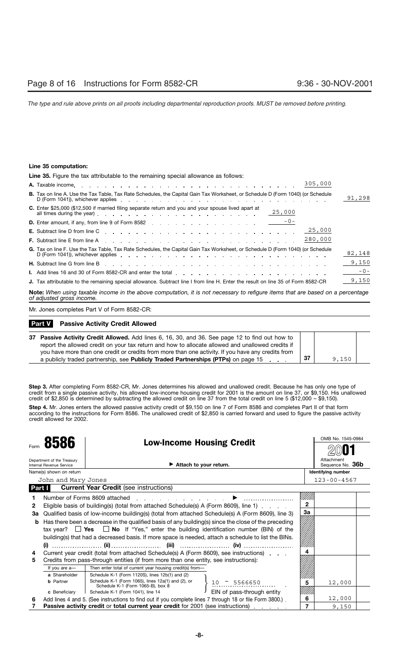### **Line 35 computation:**

**Line 35.** Figure the tax attributable to the remaining special allowance as follows:

| 305,000                                                                                                                                                                                                                                                                                                                                                                 |        |  |  |  |
|-------------------------------------------------------------------------------------------------------------------------------------------------------------------------------------------------------------------------------------------------------------------------------------------------------------------------------------------------------------------------|--------|--|--|--|
| <b>B.</b> Tax on line A. Use the Tax Table, Tax Rate Schedules, the Capital Gain Tax Worksheet, or Schedule D (Form 1040) (or Schedule<br>D (Form 1041)), whichever applies experience and the contract of the contract of the contract of the contract of the contract of the contract of the contract of the contract of the contract of the contract of the contract | 91,298 |  |  |  |
| C. Enter \$25,000 (\$12,500 if married filing separate return and you and your spouse lived apart at<br>all times during the year) example and the set of the set of the set of the set of the set of the set of the set of the set of the set of the set of the set of the set of the set of the set of the set of the set of the set                                  |        |  |  |  |
|                                                                                                                                                                                                                                                                                                                                                                         |        |  |  |  |
| 25,000                                                                                                                                                                                                                                                                                                                                                                  |        |  |  |  |
| 280,000<br><b>F.</b> Subtract line E from line A experience and a contract the contract of the E from line A experience and a contract of the C experience and a contract of the E from line A                                                                                                                                                                          |        |  |  |  |
| G. Tax on line F. Use the Tax Table, Tax Rate Schedules, the Capital Gain Tax Worksheet, or Schedule D (Form 1040) (or Schedule<br>D (Form 1041)), whichever applies extended by the contract of the contract of the contract of the contract of the contract of the contract of the contract of the contract of the contract of the contract of the contract of        | 82,148 |  |  |  |
| <b>H.</b> Subtract line G from line B end in the state of the state of the state of the state of the state of the state of the state of the state of the state of the state of the state of the state of the state of the state of                                                                                                                                      | 9,150  |  |  |  |
|                                                                                                                                                                                                                                                                                                                                                                         | $-0-$  |  |  |  |
| J. Tax attributable to the remaining special allowance. Subtract line I from line H. Enter the result on line 35 of Form 8582-CR                                                                                                                                                                                                                                        | 9,150  |  |  |  |
| <b>Note:</b> When using taxable income in the above computation, it is not necessary to refigure items that are based on a percentage<br>of adjusted gross income.                                                                                                                                                                                                      |        |  |  |  |

Mr. Jones completes Part V of Form 8582-CR:

### **Passive Activity Credit Allowed Part V**

| 37 Passive Activity Credit Allowed. Add lines 6, 16, 30, and 36. See page 12 to find out how to    |    |       |  |
|----------------------------------------------------------------------------------------------------|----|-------|--|
| report the allowed credit on your tax return and how to allocate allowed and unallowed credits if  |    |       |  |
| you have more than one credit or credits from more than one activity. If you have any credits from |    |       |  |
| a publicly traded partnership, see <b>Publicly Traded Partnerships (PTPs)</b> on page 15           | 37 | 9.150 |  |

**Step 3.** After completing Form 8582-CR, Mr. Jones determines his allowed and unallowed credit. Because he has only one type of credit from a single passive activity, his allowed low-income housing credit for 2001 is the amount on line 37, or \$9,150. His unallowed credit of \$2,850 is determined by subtracting the allowed credit on line 37 from the total credit on line 5 (\$12,000 – \$9,150).

**Step 4.** Mr. Jones enters the allowed passive activity credit of \$9,150 on line 7 of Form 8586 and completes Part II of that form according to the instructions for Form 8586. The unallowed credit of \$2,850 is carried forward and used to figure the passive activity credit allowed for 2002.

|        | 8586                                                   | <b>Low-Income Housing Credit</b>                                                                         |                                |              | OMB No. 1545-0984  |
|--------|--------------------------------------------------------|----------------------------------------------------------------------------------------------------------|--------------------------------|--------------|--------------------|
| Form   |                                                        |                                                                                                          |                                |              |                    |
|        | Department of the Treasury<br>Internal Revenue Service |                                                                                                          | Attachment<br>Sequence No. 36b |              |                    |
|        | Name(s) shown on return                                |                                                                                                          |                                |              | Identifying number |
|        | John and Mary Jones                                    |                                                                                                          |                                |              | $123 - 00 - 4567$  |
| Part I |                                                        | <b>Current Year Credit (see instructions)</b>                                                            |                                |              |                    |
|        |                                                        | Number of Forms 8609 attached                                                                            |                                |              |                    |
| 2      |                                                        | Eligible basis of building(s) (total from attached Schedule(s) A (Form 8609), line 1)                    |                                | $\mathbf{2}$ |                    |
| За     |                                                        | Qualified basis of low-income building(s) (total from attached Schedule(s) A (Form 8609), line 3)        |                                | За           |                    |
| b      |                                                        | Has there been a decrease in the qualified basis of any building(s) since the close of the preceding     |                                |              |                    |
|        |                                                        | tax year? $\Box$ Yes $\Box$ No If "Yes," enter the building identification number (BIN) of the           |                                |              |                    |
|        |                                                        | building(s) that had a decreased basis. If more space is needed, attach a schedule to list the BINs.     |                                |              |                    |
|        | (i)                                                    |                                                                                                          |                                |              |                    |
| 4      |                                                        | Current year credit (total from attached Schedule(s) A (Form 8609), see instructions)                    |                                |              |                    |
| 5      |                                                        | Credits from pass-through entities (if from more than one entity, see instructions):                     |                                |              |                    |
|        | If you are a-                                          | Then enter total of current year housing credit(s) from-                                                 |                                |              |                    |
|        | a Shareholder                                          | Schedule K-1 (Form 1120S), lines 12b(1) and (2)                                                          |                                |              |                    |
|        | <b>b</b> Partner                                       | Schedule K-1 (Form 1065), lines 12a(1) and (2), or<br>Schedule K-1 (Form 1065-B), box 8                  | $10 - 5566650$                 | 5            | 12,000             |
|        | c Beneficiary                                          | Schedule K-1 (Form 1041), line 14                                                                        | EIN of pass-through entity     |              |                    |
| 6      |                                                        | Add lines 4 and 5. (See instructions to find out if you complete lines 7 through 18 or file Form 3800.). |                                | 6            | 12,000             |
|        |                                                        | Passive activity credit or total current year credit for 2001 (see instructions)                         |                                | 7            | 9,150              |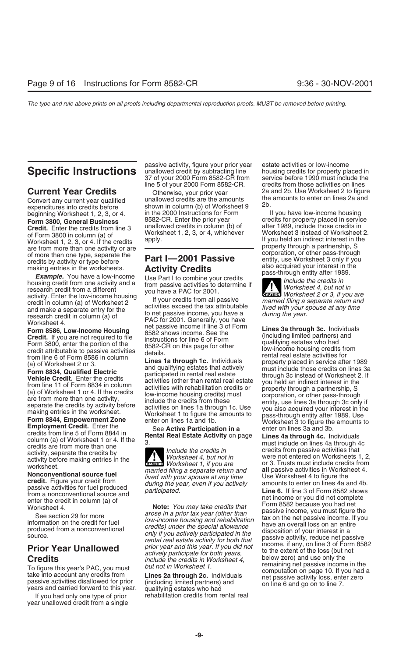**Credit.** Enter the credits from line 3 and the credits in column (b) of a liter 1989, include those credits in<br>1980 of the credits of the credits apply.<br>1989 worksheet 1, 2, 3, or 4, whichever worksheet 3 instead of Works Worksheet 1, 2, 3, or 4. If the credits apply.<br>The contract interest in the setting and the credit of a reduced and the contract interest in the partnership, expression of the separate the<br>of more than one type, separate the<br>credits by activity or type before<br>credits by activity or type before<br>and the **Part I—2001 Passive**<br>credits by activity or type before

Example. You have a low-income<br>housing credit from one activity and a trom passive activities to determine if<br>activity Enter the low-income housing<br>activity Enter the low-income housing<br>our credit from a different<br>activity activity. Enter the low-income housing<br>credit in column (a) of Worksheet 2<br>and make a separate entry for the<br>research credit in column (a) of<br>worksheet 4. PAC for 2001. Generally, you have a<br>worksheet 4.

year unallowed credit from a single

passive activity, figure your prior year estate activities or low-income **Specific Instructions** unallowed credit by subtracting line housing credits for property placed in 37 of your 2000 Form 8582-CR from service before 1990 must include the line 5 of your 2000 Form 8582-CR. credits from those activities on lines

Convert any current year qualified unallowed credits are the amounts the amounts to enter on lines 2a and expenditures into credits before shown in column (b) of Worksheet 9 2b. expenditures into credits before shown in co beginning Worksheet 1, 2, 3, or 4. in the 2000 Instructions for Form If you have low-income housing **Form 3800, General Business** 8582-CR. Enter the prior year credits for property placed in service **Form 3800, General Business** 8582-CR. Enter the prior year credits for property placed in service

Form 8586, Low-Income Housing<br> **Form 8586, Low-Income Housing**<br> **Form 8586, Low-Income Housing**<br> **Credit.** If you are not required to file<br> **Credit.** If you are not required to file<br> **Credit.** If you are not required to fi

If you had only one type of prior rehabilitation credits from rental real

service before 1990 must include the **Current Year Credits** Otherwise, your prior year 2a and 2b. Use Worksheet 2 to figure<br>Convertional correct year qualified unallowed credits are the amounts the amounts to enter on lines 2a and

**ENTION** Worksheet 2 or 3, if you are

**Credit:** If you are for eachieve on more than one to the structure of the same of the same of the same of the same of the same of the same of the same of the same of the same of the same of the same of the same of the sa

worksheet.<br> **Nonconventional source fuel the control in the control in the section of the control in the section of the control in the section anonony contribution of the produced during the year, even if you actively amou**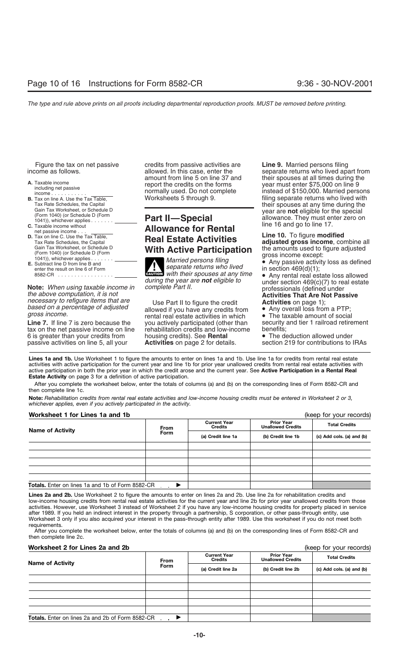- 
- 
- 
- 1041)), whichever applies . .
- **E.** Subtract line D from line B and

Line 7. If line 7 is zero because the you actively participated (other than security and tier 1 railroad retirement tax on the net passive income on line rehabilitation credits and low-income benefits; tax on the net passive income on line rehabilitation credits and low-income benefits;<br>6 is greater than your credits from housing credits). See **Rental** • The deduction allowed under 6 is greater than your credits from housing credits). See **Rental** • The deduction allowed under passive activities on line 5, all your **Activities** on page 2 for details.

Figure the tax on net passive credits from passive activities are **Line 9.** Married persons filing

# Taxable income without **C.** Taxable income without **C.** Taxable income without **C.** Taxable income without **Allowance for Rental C.** Taxable income without **Allowance for Rental net passive income . . . . . . . . . . .** Tax on line C. Use the Tax Table, **Real Estate Activities**<br>Tax Rate Schedules, the Capital **and all Real Estate Activities**<br>Gain Tax Worksheet, or Schedule D

enter the result on line 6 of Form<br>
enter the result on line 6 of Form<br>
8582-CR<br>
8582-CR<br>
8582-CR<br>
8582-CR<br>
8582-CR<br>
8582-CR<br>
8582-CR<br>
8582-CR<br>
8582-CR<br>
8582-CR<br>
8582-CR<br>
8582-CR<br>
8582-CR<br>
8582-CR<br>
8582-CR<br>
8582-CR<br>
8582-C **ENGION** with their spouses at any time during the year are **not** eligible to E. Subtract line D from line B and<br>
enter the result on line 6 of Form<br>
8582-CR<br>
Note: When using taxable income in<br>
the above computation, it is not<br>
the above computation, it is not<br>
begins to the professionals (defined

necessary to refigure items that are<br>
based on a percentage of adjusted<br>
gross income.<br>
Intervision of social<br>
netal real estate activities in which<br>
on The taxable amount of social<br>
netal real estate activities in which<br>

income as follows. allowed. In this case, enter the separate returns who lived apart from<br>amount from line 5 on line 37 and their spouses at all times during the A Taxable income<br>
including net passive example to the credits on the forms where the credits of the credits on the forms including net passive<br>
income example the credit of \$150,000. Married persons income example to the **B.** Tax on line A. Use the Tax Table, Worksheets 5 through 9. filing separate returns who lived with Tax Rate Schedules, the Capital **Exercise Capital** Cain Tax Worksheet, or Schedule D<br>
Gain Tax Worksheet, or Schedule D<br>
(Form 1040) (or Schedule D (Form **Part II—Special** Schedule D (Form allowance. They must enter zero o

**D.** Tax on line C. Use the Tax Table, **Real Estate Activities** Line 10. To figure **modified** and the Capital **Real Estate Activities** adjusted gross income, combine all Gain Tax Worksheet, or Schedule D<br>(Form 1040) (or Schedule D (Form **With Active Participation** the amounts used to figure adjusted<br>1041), which we are plies bond to the amount of the amount of the amounts used to figure ac

• Any passive activity loss as defined<br>in section 469(d)(1);

**Lines 1a and 1b.** Use Worksheet 1 to figure the amounts to enter on lines 1a and 1b. Use line 1a for credits from rental real estate activities with active participation for the current year and line 1b for prior year unallowed credits from rental real estate activities with active participation in both the prior year in which the credit arose and the current year. See **Active Participation in a Rental Real Estate Activity** on page 3 for a definition of active participation.

After you complete the worksheet below, enter the totals of columns (a) and (b) on the corresponding lines of Form 8582-CR and then complete line 1c.

**Note:** *Rehabilitation credits from rental real estate activities and low-income housing credits must be entered in Worksheet 2 or 3, whichever applies, even if you actively participated in the activity.*

### **Worksheet 1 for Lines 1a and 1b** (keep for your records)

| WORKSHEEL I JOF LINES THE HIGH TD                       |                                                                                           |  |                                               | (Keep for your records)                           |  |
|---------------------------------------------------------|-------------------------------------------------------------------------------------------|--|-----------------------------------------------|---------------------------------------------------|--|
| <b>Name of Activity</b>                                 | <b>Current Year</b><br><b>Credits</b><br><b>From</b><br><b>Form</b><br>(a) Credit line 1a |  | <b>Prior Year</b><br><b>Unallowed Credits</b> | <b>Total Credits</b><br>(c) Add cols. (a) and (b) |  |
|                                                         |                                                                                           |  | (b) Credit line 1b                            |                                                   |  |
|                                                         |                                                                                           |  |                                               |                                                   |  |
|                                                         |                                                                                           |  |                                               |                                                   |  |
|                                                         |                                                                                           |  |                                               |                                                   |  |
|                                                         |                                                                                           |  |                                               |                                                   |  |
|                                                         |                                                                                           |  |                                               |                                                   |  |
| <b>Totals.</b> Enter on lines 1a and 1b of Form 8582-CR |                                                                                           |  |                                               |                                                   |  |

Lines 2a and 2b. Use Worksheet 2 to figure the amounts to enter on lines 2a and 2b. Use line 2a for rehabilitation credits and low-income housing credits from rental real estate activities for the current year and line 2b for prior year unallowed credits from those activities. However, use Worksheet 3 instead of Worksheet 2 if you have any low-income housing credits for property placed in service after 1989. If you held an indirect interest in the property through a partnership, S corporation, or other pass-through entity, use Worksheet 3 only if you also acquired your interest in the pass-through entity after 1989. Use this worksheet if you do not meet both requirements.

After you complete the worksheet below, enter the totals of columns (a) and (b) on the corresponding lines of Form 8582-CR and then complete line 2c.

### **Worksheet 2 for Lines 2a and 2b** (keep for your records)

| <b>Name of Activity</b>                                 | <b>Current Year</b><br><b>Credits</b><br><b>From</b><br><b>Form</b><br>(a) Credit line 2a | <b>Prior Year</b><br><b>Unallowed Credits</b> | <b>Total Credits</b> |                           |
|---------------------------------------------------------|-------------------------------------------------------------------------------------------|-----------------------------------------------|----------------------|---------------------------|
|                                                         |                                                                                           |                                               | (b) Credit line 2b   | (c) Add cols. (a) and (b) |
|                                                         |                                                                                           |                                               |                      |                           |
|                                                         |                                                                                           |                                               |                      |                           |
|                                                         |                                                                                           |                                               |                      |                           |
|                                                         |                                                                                           |                                               |                      |                           |
|                                                         |                                                                                           |                                               |                      |                           |
| <b>Totals.</b> Enter on lines 2a and 2b of Form 8582-CR |                                                                                           |                                               |                      |                           |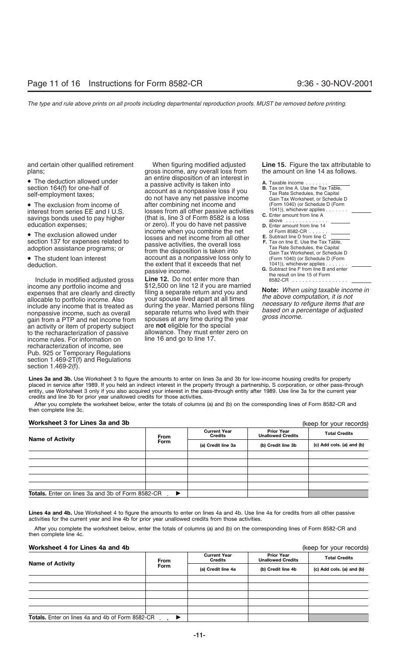and certain other qualified retirement When figuring modified adjusted **Line 15.** Figure the tax attributable to

Include in modified adjusted gross **Line 12.** Do not enter more than income any portfolio income and \$12,500 on line 12 if you are married gain from a PTP and net income from spouses at any time during the<br>an activity or item of property subject are **not** eligible for the special<br>to the recharacterization of passive allowance. They must enter ze income rules. For information on recharacterization of income, see Pub. 925 or Temporary Regulations section 1.469-2T(f) and Regulations section 1.469-2(f).

plans; gross income, any overall loss from the amount on line 14 as follows. • The deduction allowed under an entire disposition of an interest in<br>
section 164(f) for one-half of an interest in the A. Use the Tax Table,<br>
self-employment taxes; do not have any net passive income  $\frac{1}{2}$  and Tax Ra • The exclusion from income of after combining net income and<br>
• The exclusion from income of after combining net income and interest from series EE and I U.S. Inserts are losses from all other passive activities interest from series EE and I U.S. losses from all other passive activities  $\frac{1041)}{2}$ , whichever applies.......<br>savings bonds used to pay higher (that is, line 3 of Form 8582 is a loss above ........................... • The exclusion allowed under **the income when you combine the net**<br>section 137 for expenses related to **E.** Subses and net income from all other section 137 for expenses related to section 137 for expenses related to<br>adoption assistance programs; or expenses of the disposition is taken into<br>• The student loan interest account as a nonpassive loss only • The student loan interest account as a nonpassive loss only to deduction. the extent that it exceeds that net passive income.<br>**Line 12.** Do not enter more than

income any portfolio income and \$12,500 on line 12 if you are married<br>expenses that are clearly and directly<br>allocable to portfolio income. Also your spouse lived apart at all times<br>include any income that is treated as du allowance. They must enter zero on<br>line 16 and go to line 17.

| <b>A.</b> Taxable income $\ldots$ , $\ldots$<br><b>B.</b> Tax on line A. Use the Tax Table,<br>Tax Rate Schedules, the Capital<br>Gain Tax Worksheet, or Schedule D<br>(Form 1040) (or Schedule D (Form<br>$1041$ ), whichever applies $\ldots$ .                           |  |
|-----------------------------------------------------------------------------------------------------------------------------------------------------------------------------------------------------------------------------------------------------------------------------|--|
| C. Enter amount from line A                                                                                                                                                                                                                                                 |  |
| above                                                                                                                                                                                                                                                                       |  |
| <b>D.</b> Enter amount from line 14                                                                                                                                                                                                                                         |  |
| of Form 8582-CR $\ldots$<br><b>E.</b> Subtract line D from line C<br><b>F.</b> Tax on line E. Use the Tax Table.<br>Tax Rate Schedules, the Capital<br>Gain Tax Worksheet, or Schedule D<br>(Form 1040) (or Schedule D (Form<br>$1041$ ), whichever applies $\ldots \ldots$ |  |
| <b>G.</b> Subtract line F from line B and enter<br>the result on line 15 of Form<br>8582-CR                                                                                                                                                                                 |  |

**Lines 3a and 3b.** Use Worksheet 3 to figure the amounts to enter on lines 3a and 3b for low-income housing credits for property placed in service after 1989. If you held an indirect interest in the property through a partnership, S corporation, or other pass-through entity, use Worksheet 3 only if you also acquired your interest in the pass-through entity after 1989. Use line 3a for the current year credits and line 3b for prior year unallowed credits for those activities.

After you complete the worksheet below, enter the totals of columns (a) and (b) on the corresponding lines of Form 8582-CR and then complete line 3c.

### **Worksheet 3 for Lines 3a and 3b**

**Totals.** Enter on lines 3a and 3b of Form 8582-CR - $\blacktriangleright$ (keep for your records) **Prior Year Unallowed Credits Current Year CONTRETT CREAT CREDIT CREAT TO THE CREDIT CREAT TOTAL CREDIT CREAT TOTAL CREDIT STATS IN THE TOTAL CREDIT STATS OF THE TOTAL CREDIT STATS OF THE TOTAL CREDIT STATS OF THE TOTAL CREDIT STATS OF THE TOTAL CREDIT STATS OF TH** 

Lines 4a and 4b. Use Worksheet 4 to figure the amounts to enter on lines 4a and 4b. Use line 4a for credits from all other passive activities for the current year and line 4b for prior year unallowed credits from those activities.

After you complete the worksheet below, enter the totals of columns (a) and (b) on the corresponding lines of Form 8582-CR and then complete line 4c.

### **Worksheet 4 for Lines 4a and 4b** (keep for your records)

|                                                         | <b>Current Year</b><br><b>Credits</b><br>From |                                          | <b>Prior Year</b><br><b>Unallowed Credits</b> | <b>Total Credits</b>      |
|---------------------------------------------------------|-----------------------------------------------|------------------------------------------|-----------------------------------------------|---------------------------|
| <b>Name of Activity</b>                                 | Form                                          | (a) Credit line 4a<br>(b) Credit line 4b |                                               | (c) Add cols. (a) and (b) |
|                                                         |                                               |                                          |                                               |                           |
|                                                         |                                               |                                          |                                               |                           |
|                                                         |                                               |                                          |                                               |                           |
|                                                         |                                               |                                          |                                               |                           |
|                                                         |                                               |                                          |                                               |                           |
| <b>Totals.</b> Enter on lines 4a and 4b of Form 8582-CR |                                               |                                          |                                               |                           |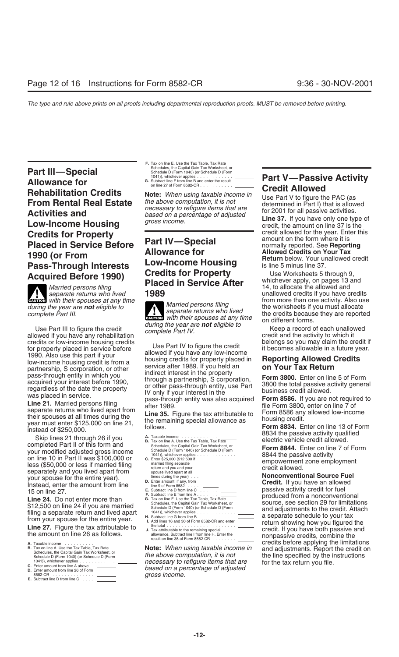**Part III—Special** Schedule D (Form 1040) (or Schedule D (Form 1040) (or Schedule D (Form 1040) (or Schedule D (Form 1040) (or Schedule D (Form 1040) (or Schedule D (Form 1040) (or Schedule D (Form 1040) (or Schedule D (Fo **Allowance for**<br> **Allowance for**<br> **Rehabilitation Credits**<br> **Credit Allowed**<br> **Credit Allowed**<br> **Credit Allowed**<br> **Credit Allowed**<br> **Credit Allowed**<br> **Credit Allowed**<br> **Credit Allowed**<br> **Credit Allowed**<br> **Credit Allowed**<br> **Credits for Property**<br> **Placed in Service Before**<br> **Part IV—Special** amount on the form where it is<br> **Placed in Service Before**<br> **Allowance for**<br> **PROP (Allowed Credits on Your Tax Allowance for allowance for Allowed Credits on Your Tax**<br> **Return below. Your unallowed credit**<br> **Research Allowsong COW-Income Housing Return below. Your unallowed credit Pass-Through Interests** Low-Income Housing is line 5 minus line 37.<br>**Acquired Bofore 1990) Credits for Property** Use Worksheets 5 through 9,

**External one of the cause of the cause of the cause of the cause of the credits CAUTION** *with their spouses at any time Morried persons filing now ith their spouses at any time Morried persons filing now* 

credits or low-income housing credits<br>for property placed in service before<br>1990. Also use this part if your<br>low-income housing credit is from a lowed if you have any low-income<br>low-income housing credit is from a logic pr

Skip lines 21 through 26 if you<br> **B.** Tax on line A. Use the Tax Table, Tax Rate<br>
Schedules, the Capital Gain Tax Worksheet, or<br>
Schedules, Text Rate Capital Gain Tax Worksheet, or<br>
Schedules, the Capital Gain Tax Workshee your modified adjusted gross income<br>
on line 10 in Part II was \$100,000 or<br>
less (\$50,000 or less if married filing<br>
less (\$50,000 or less if married filing<br>
married filing<br>
married filing<br>
married filing<br>
married filing<br> less (\$50,000 or less if married filing married tiling separate entries on the compromise the compromise of the control and you and you and you and you and you and you and you and you and you and you and you and the credit your spouse for the entire year).<br>
Instead, enter the amount from line the state and the searly finally from the search of the state of Form sear<br>
Instead, enter the amount from line the state of Form search interest in th

- **B.** Tax on line A. Use the Tax Table, Tax Rate **Note:** *When using taxable inco*<br>
Schedules, the Capital Gain Tax Worksheet, or<br>
Schedule D (Form 1040) (or Schedule D (Form **the above computation, it is not**
- 
- 8582-CR .............. *gross income.* **E.** Subtract line D from line C ....

**F.** Tax on line E. Use the Tax Table, Tax Rate 1041)), whichever applies ............

during the year are **not** eligible to<br>complete Part III. **Example 2 CONSCRETE AND MATTER CONSCRETE AND MATTER CONSCRETE AND MATTER CONSCRETE AND MATTER CONSCRETE AND MATTER CONSCRETE AND MATTER CONSCRETE AND MATTER CONSC** Gattless with their spouses at any time<br>Use Part III to figure the credit during the year are **not** eligible to<br>allowed if you have any rehabilitation complete Part IV.<br>credit and the activity to which it

low-income housing credit is from a<br>partnership, S corporation, or other service after 1989. If you held an **on Your Tax Return**<br>page through ontity in which you pass-through entity in which you<br>
pass-through entity in which you<br>
regardless of the date the property<br>
regardless of the date the property<br>
was placed in service.<br>
We are the property of the pass-through entity, use Part

- 
- 
- 
- 

the above computation, it is not the line specified by the instructions *necessary to refigure items that are* the line specified by the instructions 1041)), whichever applies ............ *necessary to refigure items that are* for the tax return you file. **C.** Enter amount from line A above Enter amount from line A above **based on a percentage of adjusted**<br>
Based on a percentage of adjusted<br>
BB82-CR

**Credits for Property** Use Worksheets 5 through 9, **Placed in Service After** *Whichever apply, on pages 13 and* **Placed in Service After** *Married persons filing Placed in Service After Married persons filing Separat* 

13 Off lift e 27.<br> **Line 24.** Do not enter more than<br>
Schedule D (From 1040) or Schedule D (Form 1040) or Schedule D (Form 1040) or Schedule D (Form 2019) on a nonconventional<br>
Schedule D (Form 1040) or Schedule D (Form 20 Exerces to the credit. Attached a separate return and lived apart<br>
filing a separate return and lived apart<br>
from your spouse for the entire year.<br> **Little Schedule** D (Form 1040) (or Schedule D (Form<br> **Exaction** line 3.6 **A.** Taxable income .......... credits before applying the limitations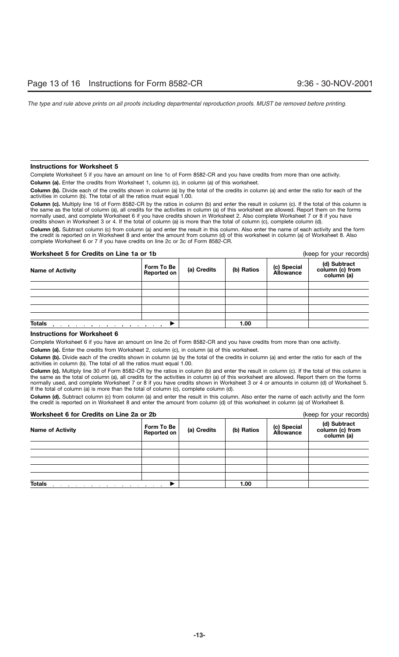### **Instructions for Worksheet 5**

Complete Worksheet 5 if you have an amount on line 1c of Form 8582-CR and you have credits from more than one activity.

**Column (a).** Enter the credits from Worksheet 1, column (c), in column (a) of this worksheet.

**Column (b).** Divide each of the credits shown in column (a) by the total of the credits in column (a) and enter the ratio for each of the activities in column (b). The total of all the ratios must equal 1.00.

**Column (c).** Multiply line 16 of Form 8582-CR by the ratios in column (b) and enter the result in column (c). If the total of this column is the same as the total of column (a), all credits for the activities in column (a) of this worksheet are allowed. Report them on the forms normally used, and complete Worksheet 6 if you have credits shown in Worksheet 2. Also complete Worksheet 7 or 8 if you have credits shown in Worksheet 3 or 4. If the total of column (a) is more than the total of column (c), complete column (d).

**Column (d).** Subtract column (c) from column (a) and enter the result in this column. Also enter the name of each activity and the form the credit is reported on in Worksheet 8 and enter the amount from column (d) of this worksheet in column (a) of Worksheet 8. Also complete Worksheet 6 or 7 if you have credits on line 2c or 3c of Form 8582-CR.

### **Worksheet 5 for Credits on Line 1a or 1b** (keep for your records)

| <b>Name of Activity</b> | Form To Be<br>Reported on | (a) Credits | (b) Ratios | (c) Special<br>Allowance | (d) Subtract<br>column (c) from<br>column (a) |
|-------------------------|---------------------------|-------------|------------|--------------------------|-----------------------------------------------|
|                         |                           |             |            |                          |                                               |
|                         |                           |             |            |                          |                                               |
|                         |                           |             |            |                          |                                               |
|                         |                           |             |            |                          |                                               |
|                         |                           |             |            |                          |                                               |
| <b>Totals</b>           |                           |             | 1.00       |                          |                                               |

### **Instructions for Worksheet 6**

Complete Worksheet 6 if you have an amount on line 2c of Form 8582-CR and you have credits from more than one activity.

**Column (a).** Enter the credits from Worksheet 2, column (c), in column (a) of this worksheet.

**Column (b).** Divide each of the credits shown in column (a) by the total of the credits in column (a) and enter the ratio for each of the activities in column (b). The total of all the ratios must equal 1.00.

**Column (c).** Multiply line 30 of Form 8582-CR by the ratios in column (b) and enter the result in column (c). If the total of this column is the same as the total of column (a), all credits for the activities in column (a) of this worksheet are allowed. Report them on the forms normally used, and complete Worksheet 7 or 8 if you have credits shown in Worksheet 3 or 4 or amounts in column (d) of Worksheet 5. If the total of column (a) is more than the total of column (c), complete column (d).

**Column (d).** Subtract column (c) from column (a) and enter the result in this column. Also enter the name of each activity and the form the credit is reported on in Worksheet 8 and enter the amount from column (d) of this worksheet in column (a) of Worksheet 8.

### **Worksheet 6 for Credits on Line 2a or 2b** (keep for your records)

| worksheet o for Credits on Line za or zb |                           |             |            |                                 | (Keep for your records)                       |
|------------------------------------------|---------------------------|-------------|------------|---------------------------------|-----------------------------------------------|
| <b>Name of Activity</b>                  | Form To Be<br>Reported on | (a) Credits | (b) Ratios | (c) Special<br><b>Allowance</b> | (d) Subtract<br>column (c) from<br>column (a) |
|                                          |                           |             |            |                                 |                                               |
|                                          |                           |             |            |                                 |                                               |
|                                          |                           |             |            |                                 |                                               |
|                                          |                           |             |            |                                 |                                               |
|                                          |                           |             |            |                                 |                                               |
| <b>Totals</b>                            |                           |             | 1.00       |                                 |                                               |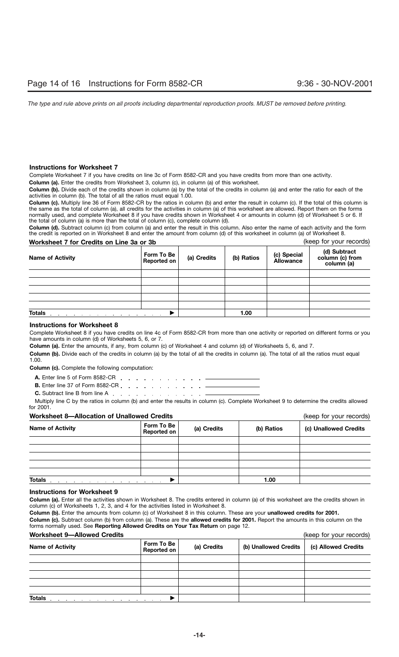### **Instructions for Worksheet 7**

Complete Worksheet 7 if you have credits on line 3c of Form 8582-CR and you have credits from more than one activity.

**Column (a).** Enter the credits from Worksheet 3, column (c), in column (a) of this worksheet.

**Column (b).** Divide each of the credits shown in column (a) by the total of the credits in column (a) and enter the ratio for each of the activities in column (b). The total of all the ratios must equal 1.00.

**Column (c).** Multiply line 36 of Form 8582-CR by the ratios in column (b) and enter the result in column (c). If the total of this column is the same as the total of column (a), all credits for the activities in column (a) of this worksheet are allowed. Report them on the forms normally used, and complete Worksheet 8 if you have credits shown in Worksheet 4 or amounts in column (d) of Worksheet 5 or 6. If the total of column (a) is more than the total of column (c), complete column (d).

**Column (d).** Subtract column (c) from column (a) and enter the result in this column. Also enter the name of each activity and the form the credit is reported on in Worksheet 8 and enter the amount from column (d) of this worksheet in column (a) of Worksheet 8.

### **Worksheet 7 for Credits on Line 3a or 3b Credity and Credity Credit Credit Credit Credit Credit Credit Credit C**

| <b>Name of Activity</b>                                           | Form To Be<br>Reported on | (a) Credits | (b) Ratios | (c) Special<br>Allowance | (d) Subtract<br>column (c) from<br>column (a) |
|-------------------------------------------------------------------|---------------------------|-------------|------------|--------------------------|-----------------------------------------------|
|                                                                   |                           |             |            |                          |                                               |
|                                                                   |                           |             |            |                          |                                               |
|                                                                   |                           |             |            |                          |                                               |
|                                                                   |                           |             |            |                          |                                               |
|                                                                   |                           |             |            |                          |                                               |
| <b>Totals</b><br>the control of the control of the control of the |                           | 1.00        |            |                          |                                               |

### **Instructions for Worksheet 8**

Complete Worksheet 8 if you have credits on line 4c of Form 8582-CR from more than one activity or reported on different forms or you have amounts in column (d) of Worksheets 5, 6, or 7.

**Column (a).** Enter the amounts, if any, from column (c) of Worksheet 4 and column (d) of Worksheets 5, 6, and 7.

**Column (b).** Divide each of the credits in column (a) by the total of all the credits in column (a). The total of all the ratios must equal 1.00.

**Column (c).** Complete the following computation:

- **A.** Enter line 5 of Form 8582-CR
- **B.** Enter line 37 of Form 8582-CR . . . . . . . . . . . . . -
- **C.** Subtract line B from line A

Multiply line C by the ratios in column (b) and enter the results in column (c). Complete Worksheet 9 to determine the credits allowed for 2001.

### **Worksheet 8—Allocation of Unallowed Credits** (keep for your records)

**(a) Credits (b) Ratios (c) Unallowed Credits Form To Be Name of Activity Totals** . . . . . . . . . . <u>. . . . . . ▶</u> **1.00** 

### **Instructions for Worksheet 9**

**Column (a).** Enter all the activities shown in Worksheet 8. The credits entered in column (a) of this worksheet are the credits shown in column (c) of Worksheets 1, 2, 3, and 4 for the activities listed in Worksheet 8.

**Column (b).** Enter the amounts from column (c) of Worksheet 8 in this column. These are your **unallowed credits for 2001.**

**Column (c).** Subtract column (b) from column (a). These are the **allowed credits for 2001.** Report the amounts in this column on the forms normally used. See **Reporting Allowed Credits on Your Tax Return** on page 12.

### **Worksheet 9—Allowed Credits** (keep for your records)

|                         | $100p$ ior your rooordo)    |             |                       |                     |
|-------------------------|-----------------------------|-------------|-----------------------|---------------------|
| <b>Name of Activity</b> | Form To Be<br>Reported on   | (a) Credits | (b) Unallowed Credits | (c) Allowed Credits |
|                         |                             |             |                       |                     |
|                         |                             |             |                       |                     |
|                         |                             |             |                       |                     |
|                         |                             |             |                       |                     |
|                         |                             |             |                       |                     |
| <b>Totals</b>           | and the control of the con- |             |                       |                     |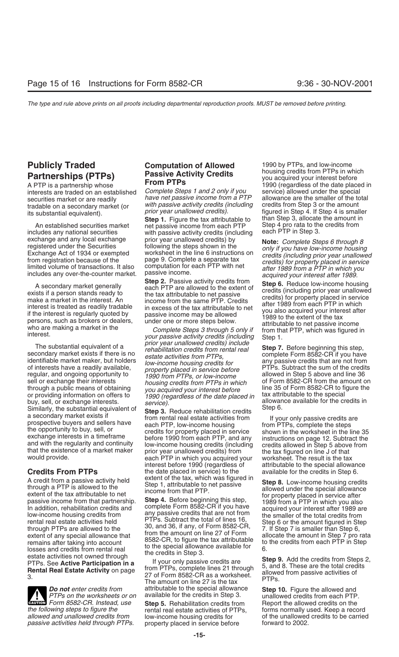includes any national securities with passive activity credits (including exchange and any local exchange prior year unallowed credits) by

of interests have a readily available,<br>
respuesting the property placed in service before<br>
respuesting and only the property placed in service before<br>
sell or exchange their interests<br>
through a public means of obtaining<br>

A credit from a passive activity held<br>through a PTP is allowed to the<br>passive income from that partnership.<br>In addition, rehabilitation credits and<br>low-income housing credits and<br>through PTPs are allowed to the<br>through PTP Extent of any special allowance that<br>
extent of any special allowance that<br>
to the special allowance that<br>
to the special allowance available for<br>
losses and credits from rental real<br>
estate activities not owned through<br>
e

*the following steps to figure the* rental real estate activities of PTPs, forms normally used. Keep a record *passive activities held through PTPs.* property placed in service before

interests are traded on an established Complete Steps 1 and 2 only if you service) allowed under the special<br>securities market or are readily have net passive income from a PTP allowance are the smaller of the total securities market or are readily *have net passive income from a PTP* allowance are the smaller of the to<br>tradable on a secondary market (or with passive activity credits (including credits from Step 3 or the amount

**Step 1.** Figure the tax attributable to than Step 3, allocate the amount in net passive income from each PTP Step 4 pro rata to the credits from An established securities market net passive income from each PTP Step 4 pro rata to the includes any national securities with passive activity credits (including each PTP in Step 3.

each PTP in which you acquired your worksheet. The result is the tax<br>interest before 1990 (regardless of attributable to the special allowance<br>the date placed in service) to the available for the credits in Step 6. **Credits From PTPs** the date placed in service) to the available for the credits in Step 6.<br>A credit from a passive activity held extent of the tax, which was figured in

**Do not** enter credits from attributable to the special allowance **Step 10.** Figure the allowed and *PTPs on the worksheets or on* available for the credits in Step 3. In unallowed credits from each PTP. available for the credits in Step 3. **CAUTION FOREX CAUTION FOREX CAUTION CAUTION Form 8582-CR.** Instead, use **Step 5.** Rehabilitation credits from **Report the allowed credits on the** low-income housing credits for **the unallowed credits to be carried**<br>
property placed in service before **the incore of the 2002**.

**Publicly Traded Computation of Allowed** 1990 by PTPs, and low-income<br> **Particle (PTP) Ressive Activity Credits** busing credits from PTPs in which **Partnerships (PTPs) Passive Activity Credits** *Partnerships (PTPs* in which **Passive Activity Credits** *Pacifical partnerships in which* **PTPs** *Pacifical pacifical partnership whose* **PTPs** *Pacifical pacifical pacific* A PTP is a partnership whose **From PTPs** 1990 (regardless of the date placed in *tradable on a secondary market (or amount prior year unallowed credits (including* credits from Step 3 or the amount its substantial equivalent).<br>its substantial equivalent).<br>**Step 1** Figure the tax attributable to then S

exchange and any local exchange<br>
expected under the Securities in the worksheet in the line eights shown in the<br>
Exchange Act of 1934 or exempted<br>
from registration because of the Sinstructions on credits (including prior